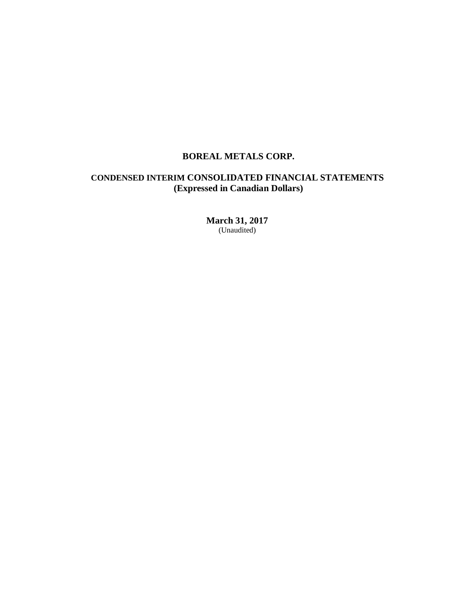# **BOREAL METALS CORP.**

# **CONDENSED INTERIM CONSOLIDATED FINANCIAL STATEMENTS (Expressed in Canadian Dollars)**

**March 31, 2017** (Unaudited)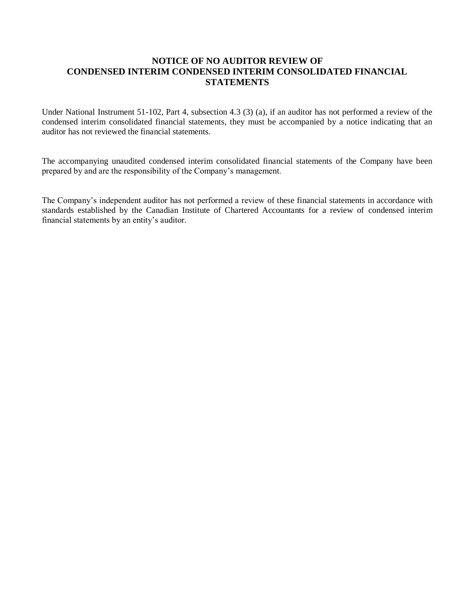#### **NOTICE OF NO AUDITOR REVIEW OF CONDENSED INTERIM CONDENSED INTERIM CONSOLIDATED FINANCIAL STATEMENTS**   $\mathbf{L}$

Under National Instrument 51-102, Part 4, subsection 4.3 (3) (a), if an auditor has not performed a review of the condensed interim consolidated financial statements, they must be accompanied by a notice indicating that an **N** auditor has not reviewed the financial statements. e

The accompanying unaudited condensed interim consolidated financial statements of the Company have been **L** prepared by and are the responsibility of the Company's management.

The Company's independent auditor has not performed a review of these financial statements in accordance with standards established by the Canadian Institute of Chartered Accountants for a review of condensed interim financial statements by an entity's auditor.  $\alpha$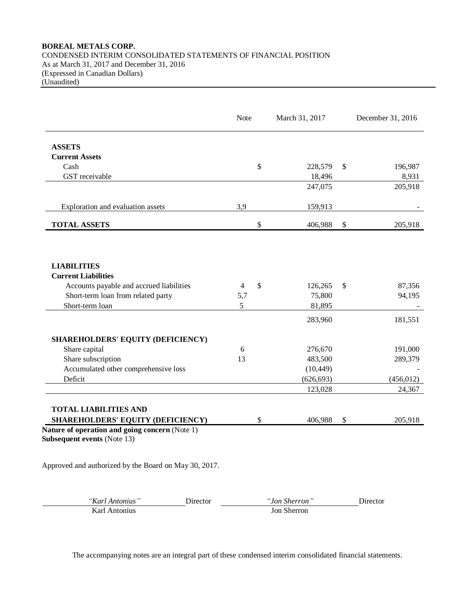## **BOREAL METALS CORP.** CONDENSED INTERIM CONSOLIDATED STATEMENTS OF FINANCIAL POSITION As at March 31, 2017 and December 31, 2016 (Expressed in Canadian Dollars) (Unaudited)

|                                                                                                                                                       | <b>Note</b>   | March 31, 2017                               |              | December 31, 2016           |
|-------------------------------------------------------------------------------------------------------------------------------------------------------|---------------|----------------------------------------------|--------------|-----------------------------|
| <b>ASSETS</b>                                                                                                                                         |               |                                              |              |                             |
| <b>Current Assets</b>                                                                                                                                 |               |                                              |              |                             |
| Cash                                                                                                                                                  |               | \$<br>228,579                                | $\mathbb{S}$ | 196,987                     |
| GST receivable                                                                                                                                        |               | 18,496                                       |              | 8,931                       |
|                                                                                                                                                       |               | 247,075                                      |              | 205,918                     |
| Exploration and evaluation assets                                                                                                                     | 3,9           | 159,913                                      |              |                             |
| <b>TOTAL ASSETS</b>                                                                                                                                   |               | \$<br>406,988                                | $\mathbb{S}$ | 205,918                     |
| <b>LIABILITIES</b><br><b>Current Liabilities</b><br>Accounts payable and accrued liabilities<br>Short-term loan from related party<br>Short-term loan | 4<br>5,7<br>5 | \$<br>126,265<br>75,800<br>81,895<br>283,960 | \$           | 87,356<br>94,195<br>181,551 |
|                                                                                                                                                       |               |                                              |              |                             |
| SHAREHOLDERS' EQUITY (DEFICIENCY)                                                                                                                     |               |                                              |              |                             |
| Share capital                                                                                                                                         | 6             | 276,670                                      |              | 191,000                     |
| Share subscription                                                                                                                                    | 13            | 483,500                                      |              | 289,379                     |
| Accumulated other comprehensive loss                                                                                                                  |               | (10, 449)                                    |              |                             |
| Deficit                                                                                                                                               |               | (626, 693)                                   |              | (456, 012)                  |
|                                                                                                                                                       |               | 123,028                                      |              | 24,367                      |
| <b>TOTAL LIABILITIES AND</b>                                                                                                                          |               |                                              |              |                             |
| SHAREHOLDERS' EQUITY (DEFICIENCY)                                                                                                                     |               | \$<br>406,988                                | \$           | 205,918                     |

Approved and authorized by the Board on May 30, 2017.

| "Karl Antonius" | <b>Jirector</b> | <i>"Jon Sherron</i> | Jirector |
|-----------------|-----------------|---------------------|----------|
| Karl Antonius   |                 | <b>Jon Sherron</b>  |          |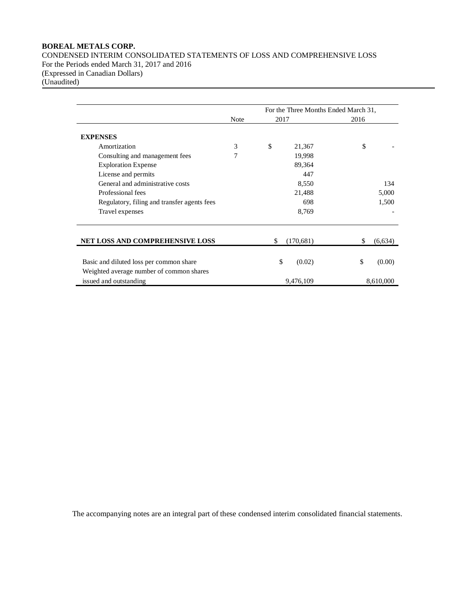# **BOREAL METALS CORP.**

CONDENSED INTERIM CONSOLIDATED STATEMENTS OF LOSS AND COMPREHENSIVE LOSS For the Periods ended March 31, 2017 and 2016 (Expressed in Canadian Dollars) (Unaudited)

|                                             |             |      |            | For the Three Months Ended March 31, |           |  |
|---------------------------------------------|-------------|------|------------|--------------------------------------|-----------|--|
|                                             | <b>Note</b> | 2017 |            | 2016                                 |           |  |
| <b>EXPENSES</b>                             |             |      |            |                                      |           |  |
| Amortization                                | 3           | \$   | 21,367     | \$                                   |           |  |
| Consulting and management fees              | 7           |      | 19,998     |                                      |           |  |
| <b>Exploration Expense</b>                  |             |      | 89,364     |                                      |           |  |
| License and permits                         |             |      | 447        |                                      |           |  |
| General and administrative costs            |             |      | 8,550      |                                      | 134       |  |
| Professional fees                           |             |      | 21,488     |                                      | 5,000     |  |
| Regulatory, filing and transfer agents fees |             |      | 698        |                                      | 1,500     |  |
| Travel expenses                             |             |      | 8,769      |                                      |           |  |
| <b>NET LOSS AND COMPREHENSIVE LOSS</b>      |             | \$   | (170, 681) | \$                                   | (6,634)   |  |
|                                             |             |      |            |                                      |           |  |
| Basic and diluted loss per common share     |             | \$   | (0.02)     | \$                                   | (0.00)    |  |
| Weighted average number of common shares    |             |      |            |                                      |           |  |
| issued and outstanding                      |             |      | 9,476,109  |                                      | 8,610,000 |  |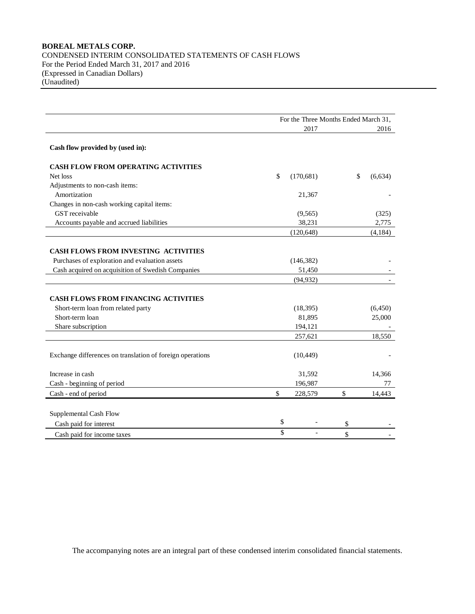## **BOREAL METALS CORP.** CONDENSED INTERIM CONSOLIDATED STATEMENTS OF CASH FLOWS For the Period Ended March 31, 2017 and 2016 (Expressed in Canadian Dollars) (Unaudited)

|                                                           | For the Three Months Ended March 31, |            |    |          |  |
|-----------------------------------------------------------|--------------------------------------|------------|----|----------|--|
|                                                           |                                      | 2017       |    | 2016     |  |
| Cash flow provided by (used in):                          |                                      |            |    |          |  |
| <b>CASH FLOW FROM OPERATING ACTIVITIES</b>                |                                      |            |    |          |  |
| Net loss                                                  | $\mathsf{\$}$                        | (170, 681) | \$ | (6, 634) |  |
| Adjustments to non-cash items:                            |                                      |            |    |          |  |
| Amortization                                              |                                      | 21,367     |    |          |  |
| Changes in non-cash working capital items:                |                                      |            |    |          |  |
| GST receivable                                            |                                      | (9, 565)   |    | (325)    |  |
| Accounts payable and accrued liabilities                  |                                      | 38,231     |    | 2,775    |  |
|                                                           |                                      | (120, 648) |    | (4,184)  |  |
|                                                           |                                      |            |    |          |  |
| <b>CASH FLOWS FROM INVESTING ACTIVITIES</b>               |                                      |            |    |          |  |
| Purchases of exploration and evaluation assets            |                                      | (146, 382) |    |          |  |
| Cash acquired on acquisition of Swedish Companies         |                                      | 51,450     |    |          |  |
|                                                           |                                      | (94, 932)  |    |          |  |
|                                                           |                                      |            |    |          |  |
| CASH FLOWS FROM FINANCING ACTIVITIES                      |                                      |            |    |          |  |
| Short-term loan from related party                        |                                      | (18, 395)  |    | (6,450)  |  |
| Short-term loan                                           |                                      | 81,895     |    | 25,000   |  |
| Share subscription                                        |                                      | 194,121    |    |          |  |
|                                                           |                                      | 257,621    |    | 18,550   |  |
| Exchange differences on translation of foreign operations |                                      | (10, 449)  |    |          |  |
| Increase in cash                                          |                                      | 31,592     |    | 14,366   |  |
| Cash - beginning of period                                |                                      | 196,987    |    | 77       |  |
| Cash - end of period                                      | \$                                   | 228,579    | \$ | 14,443   |  |
|                                                           |                                      |            |    |          |  |
| Supplemental Cash Flow                                    |                                      |            |    |          |  |
| Cash paid for interest                                    | \$                                   |            | \$ |          |  |
| Cash paid for income taxes                                | \$                                   |            | \$ |          |  |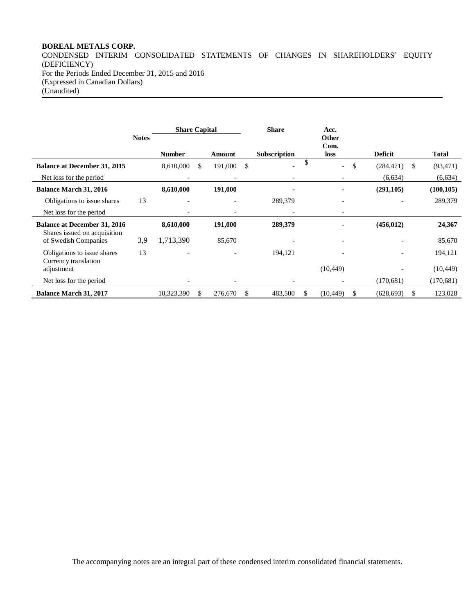## **BOREAL METALS CORP.**

CONDENSED INTERIM CONSOLIDATED STATEMENTS OF CHANGES IN SHAREHOLDERS' EQUITY (DEFICIENCY) For the Periods Ended December 31, 2015 and 2016 (Expressed in Canadian Dollars) (Unaudited)

|                                                                     |              | <b>Share Capital</b> |               | <b>Share</b>        |    | Acc.                           |                          |   |                       |
|---------------------------------------------------------------------|--------------|----------------------|---------------|---------------------|----|--------------------------------|--------------------------|---|-----------------------|
|                                                                     | <b>Notes</b> | <b>Number</b>        | Amount        | <b>Subscription</b> |    | <b>Other</b><br>Com.<br>loss   | <b>Deficit</b>           |   | <b>Total</b>          |
| <b>Balance at December 31, 2015</b><br>Net loss for the period      |              | 8,610,000            | \$<br>191,000 | \$                  |    | \$<br>$\overline{\phantom{0}}$ | (284, 471)<br>(6,634)    | S | (93, 471)<br>(6, 634) |
| <b>Balance March 31, 2016</b>                                       |              | 8,610,000            | 191,000       |                     |    |                                | (291, 105)               |   | (100, 105)            |
| Obligations to issue shares<br>Net loss for the period              | 13           |                      |               | 289,379             |    |                                |                          |   | 289,379               |
| <b>Balance at December 31, 2016</b><br>Shares issued on acquisition |              | 8,610,000            | 191,000       | 289,379             |    |                                | (456, 012)               |   | 24,367                |
| of Swedish Companies                                                | 3,9          | 1,713,390            | 85,670        |                     |    |                                |                          |   | 85,670                |
| Obligations to issue shares<br>Currency translation                 | 13           |                      |               | 194,121             |    |                                | $\overline{\phantom{a}}$ |   | 194,121               |
| adjustment                                                          |              |                      |               |                     |    | (10, 449)                      |                          |   | (10, 449)             |
| Net loss for the period                                             |              |                      |               |                     |    |                                | (170,681)                |   | (170,681)             |
| <b>Balance March 31, 2017</b>                                       |              | 10,323,390           | \$<br>276,670 | \$<br>483,500       | S. | (10, 449)<br>S                 | (628, 693)               | S | 123,028               |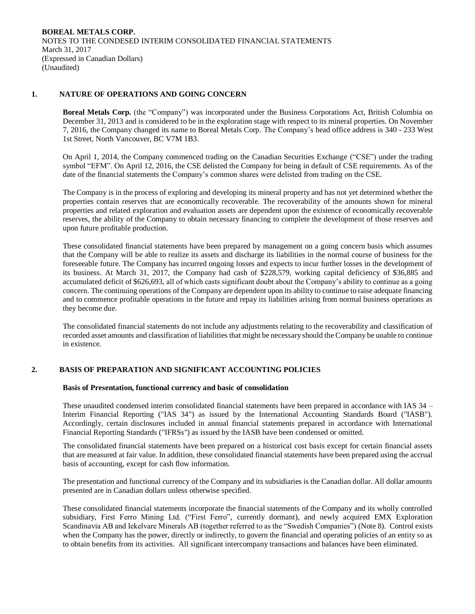## **1. NATURE OF OPERATIONS AND GOING CONCERN**

**Boreal Metals Corp.** (the "Company") was incorporated under the Business Corporations Act, British Columbia on December 31, 2013 and is considered to be in the exploration stage with respect to its mineral properties. On November 7, 2016, the Company changed its name to Boreal Metals Corp. The Company's head office address is 340 - 233 West 1st Street, North Vancouver, BC V7M 1B3.

On April 1, 2014, the Company commenced trading on the Canadian Securities Exchange ("CSE") under the trading symbol "EFM". On April 12, 2016, the CSE delisted the Company for being in default of CSE requirements. As of the date of the financial statements the Company's common shares were delisted from trading on the CSE.

The Company is in the process of exploring and developing its mineral property and has not yet determined whether the properties contain reserves that are economically recoverable. The recoverability of the amounts shown for mineral properties and related exploration and evaluation assets are dependent upon the existence of economically recoverable reserves, the ability of the Company to obtain necessary financing to complete the development of those reserves and upon future profitable production.

These consolidated financial statements have been prepared by management on a going concern basis which assumes that the Company will be able to realize its assets and discharge its liabilities in the normal course of business for the foreseeable future. The Company has incurred ongoing losses and expects to incur further losses in the development of its business. At March 31, 2017, the Company had cash of \$228,579, working capital deficiency of \$36,885 and accumulated deficit of \$626,693, all of which casts significant doubt about the Company's ability to continue as a going concern. The continuing operations of the Company are dependent upon its ability to continue to raise adequate financing and to commence profitable operations in the future and repay its liabilities arising from normal business operations as they become due.

The consolidated financial statements do not include any adjustments relating to the recoverability and classification of recorded asset amounts and classification of liabilities that might be necessary should the Company be unable to continue in existence.

## **2. BASIS OF PREPARATION AND SIGNIFICANT ACCOUNTING POLICIES**

#### **Basis of Presentation, functional currency and basic of consolidation**

These unaudited condensed interim consolidated financial statements have been prepared in accordance with IAS 34 – Interim Financial Reporting ("IAS 34") as issued by the International Accounting Standards Board ("IASB"). Accordingly, certain disclosures included in annual financial statements prepared in accordance with International Financial Reporting Standards ("IFRSs") as issued by the IASB have been condensed or omitted.

The consolidated financial statements have been prepared on a historical cost basis except for certain financial assets that are measured at fair value. In addition, these consolidated financial statements have been prepared using the accrual basis of accounting, except for cash flow information.

The presentation and functional currency of the Company and its subsidiaries is the Canadian dollar. All dollar amounts presented are in Canadian dollars unless otherwise specified.

These consolidated financial statements incorporate the financial statements of the Company and its wholly controlled subsidiary, First Ferro Mining Ltd. ("First Ferro", currently dormant), and newly acquired EMX Exploration Scandinavia AB and Iekelvare Minerals AB (together referred to as the "Swedish Companies") (Note 8). Control exists when the Company has the power, directly or indirectly, to govern the financial and operating policies of an entity so as to obtain benefits from its activities. All significant intercompany transactions and balances have been eliminated.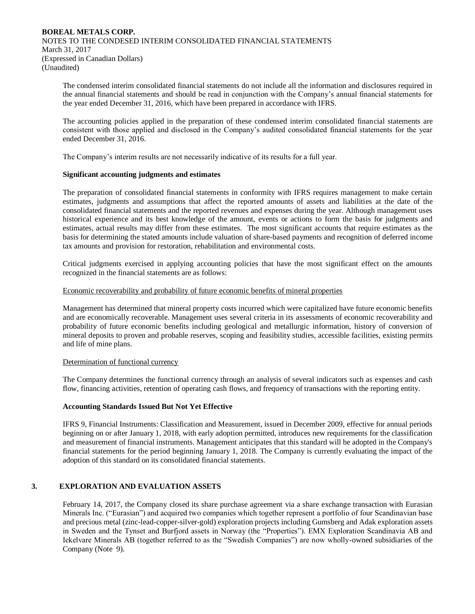The condensed interim consolidated financial statements do not include all the information and disclosures required in the annual financial statements and should be read in conjunction with the Company's annual financial statements for the year ended December 31, 2016, which have been prepared in accordance with IFRS.

The accounting policies applied in the preparation of these condensed interim consolidated financial statements are consistent with those applied and disclosed in the Company's audited consolidated financial statements for the year ended December 31, 2016.

The Company's interim results are not necessarily indicative of its results for a full year.

## **Significant accounting judgments and estimates**

The preparation of consolidated financial statements in conformity with IFRS requires management to make certain estimates, judgments and assumptions that affect the reported amounts of assets and liabilities at the date of the consolidated financial statements and the reported revenues and expenses during the year. Although management uses historical experience and its best knowledge of the amount, events or actions to form the basis for judgments and estimates, actual results may differ from these estimates. The most significant accounts that require estimates as the basis for determining the stated amounts include valuation of share-based payments and recognition of deferred income tax amounts and provision for restoration, rehabilitation and environmental costs.

Critical judgments exercised in applying accounting policies that have the most significant effect on the amounts recognized in the financial statements are as follows:

### Economic recoverability and probability of future economic benefits of mineral properties

Management has determined that mineral property costs incurred which were capitalized have future economic benefits and are economically recoverable. Management uses several criteria in its assessments of economic recoverability and probability of future economic benefits including geological and metallurgic information, history of conversion of mineral deposits to proven and probable reserves, scoping and feasibility studies, accessible facilities, existing permits and life of mine plans.

### Determination of functional currency

The Company determines the functional currency through an analysis of several indicators such as expenses and cash flow, financing activities, retention of operating cash flows, and frequency of transactions with the reporting entity.

## **Accounting Standards Issued But Not Yet Effective**

IFRS 9, Financial Instruments: Classification and Measurement, issued in December 2009, effective for annual periods beginning on or after January 1, 2018, with early adoption permitted, introduces new requirements for the classification and measurement of financial instruments. Management anticipates that this standard will be adopted in the Company's financial statements for the period beginning January 1, 2018. The Company is currently evaluating the impact of the adoption of this standard on its consolidated financial statements.

## **3. EXPLORATION AND EVALUATION ASSETS**

February 14, 2017, the Company closed its share purchase agreement via a share exchange transaction with Eurasian Minerals Inc. ("Eurasian") and acquired two companies which together represent a portfolio of four Scandinavian base and precious metal (zinc-lead-copper-silver-gold) exploration projects including Gumsberg and Adak exploration assets in Sweden and the Tynset and Burfjord assets in Norway (the "Properties"). EMX Exploration Scandinavia AB and Iekelvare Minerals AB (together referred to as the "Swedish Companies") are now wholly-owned subsidiaries of the Company (Note 9).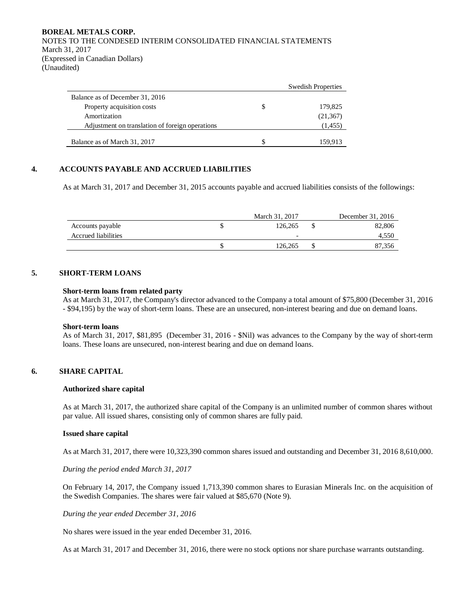|                                                 |    | <b>Swedish Properties</b> |
|-------------------------------------------------|----|---------------------------|
| Balance as of December 31, 2016                 |    |                           |
| Property acquisition costs                      | \$ | 179,825                   |
| Amortization                                    |    | (21, 367)                 |
| Adjustment on translation of foreign operations |    | (1, 455)                  |
| Balance as of March 31, 2017                    | S  | 159.913                   |

## **4. ACCOUNTS PAYABLE AND ACCRUED LIABILITIES**

As at March 31, 2017 and December 31, 2015 accounts payable and accrued liabilities consists of the followings:

|                     | March 31, 2017 | December 31, 2016 |
|---------------------|----------------|-------------------|
| Accounts payable    | 126,265        | 82,806            |
| Accrued liabilities | -              | 4,550             |
|                     | 126.265        | 87.356            |

# **5. SHORT-TERM LOANS**

#### **Short-term loans from related party**

As at March 31, 2017, the Company's director advanced to the Company a total amount of \$75,800 (December 31, 2016 - \$94,195) by the way of short-term loans. These are an unsecured, non-interest bearing and due on demand loans.

#### **Short-term loans**

As of March 31, 2017, \$81,895 (December 31, 2016 - \$Nil) was advances to the Company by the way of short-term loans. These loans are unsecured, non-interest bearing and due on demand loans.

# **6. SHARE CAPITAL**

#### **Authorized share capital**

As at March 31, 2017, the authorized share capital of the Company is an unlimited number of common shares without par value. All issued shares, consisting only of common shares are fully paid.

#### **Issued share capital**

As at March 31, 2017, there were 10,323,390 common shares issued and outstanding and December 31, 2016 8,610,000.

*During the period ended March 31, 2017*

On February 14, 2017, the Company issued 1,713,390 common shares to Eurasian Minerals Inc. on the acquisition of the Swedish Companies. The shares were fair valued at \$85,670 (Note 9).

*During the year ended December 31, 2016*

No shares were issued in the year ended December 31, 2016.

As at March 31, 2017 and December 31, 2016, there were no stock options nor share purchase warrants outstanding.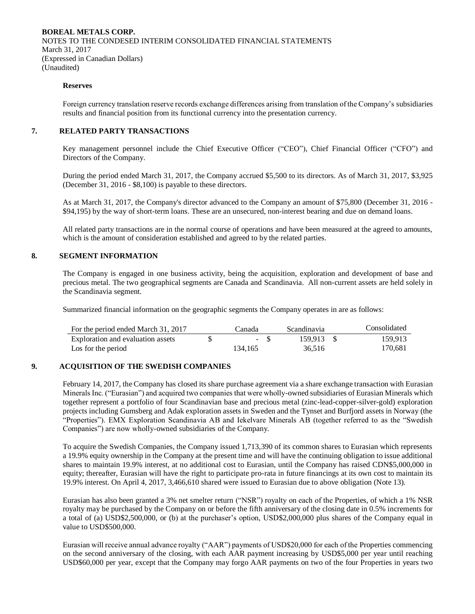#### **Reserves**

Foreign currency translation reserve records exchange differences arising from translation of the Company's subsidiaries results and financial position from its functional currency into the presentation currency.

#### **7. RELATED PARTY TRANSACTIONS**

Key management personnel include the Chief Executive Officer ("CEO"), Chief Financial Officer ("CFO") and Directors of the Company.

During the period ended March 31, 2017, the Company accrued \$5,500 to its directors. As of March 31, 2017, \$3,925 (December 31, 2016 - \$8,100) is payable to these directors.

As at March 31, 2017, the Company's director advanced to the Company an amount of \$75,800 (December 31, 2016 - \$94,195) by the way of short-term loans. These are an unsecured, non-interest bearing and due on demand loans.

All related party transactions are in the normal course of operations and have been measured at the agreed to amounts, which is the amount of consideration established and agreed to by the related parties.

## **8. SEGMENT INFORMATION**

The Company is engaged in one business activity, being the acquisition, exploration and development of base and precious metal. The two geographical segments are Canada and Scandinavia. All non-current assets are held solely in the Scandinavia segment.

Summarized financial information on the geographic segments the Company operates in are as follows:

| For the period ended March 31, 2017 | Canada  | <i>Scandinavia</i> | Consolidated |
|-------------------------------------|---------|--------------------|--------------|
| Exploration and evaluation assets   | $-$ S   | 159.913 \$         | 159.913      |
| Los for the period                  | 134.165 | 36.516             | 170.681      |

## **9. ACQUISITION OF THE SWEDISH COMPANIES**

February 14, 2017, the Company has closed its share purchase agreement via a share exchange transaction with Eurasian Minerals Inc. ("Eurasian") and acquired two companies that were wholly-owned subsidiaries of Eurasian Minerals which together represent a portfolio of four Scandinavian base and precious metal (zinc-lead-copper-silver-gold) exploration projects including Gumsberg and Adak exploration assets in Sweden and the Tynset and Burfjord assets in Norway (the "Properties"). EMX Exploration Scandinavia AB and Iekelvare Minerals AB (together referred to as the "Swedish Companies") are now wholly-owned subsidiaries of the Company.

To acquire the Swedish Companies, the Company issued 1,713,390 of its common shares to Eurasian which represents a 19.9% equity ownership in the Company at the present time and will have the continuing obligation to issue additional shares to maintain 19.9% interest, at no additional cost to Eurasian, until the Company has raised CDN\$5,000,000 in equity; thereafter, Eurasian will have the right to participate pro-rata in future financings at its own cost to maintain its 19.9% interest. On April 4, 2017, 3,466,610 shared were issued to Eurasian due to above obligation (Note 13).

Eurasian has also been granted a 3% net smelter return ("NSR") royalty on each of the Properties, of which a 1% NSR royalty may be purchased by the Company on or before the fifth anniversary of the closing date in 0.5% increments for a total of (a) USD\$2,500,000, or (b) at the purchaser's option, USD\$2,000,000 plus shares of the Company equal in value to USD\$500,000.

Eurasian will receive annual advance royalty ("AAR") payments of USD\$20,000 for each of the Properties commencing on the second anniversary of the closing, with each AAR payment increasing by USD\$5,000 per year until reaching USD\$60,000 per year, except that the Company may forgo AAR payments on two of the four Properties in years two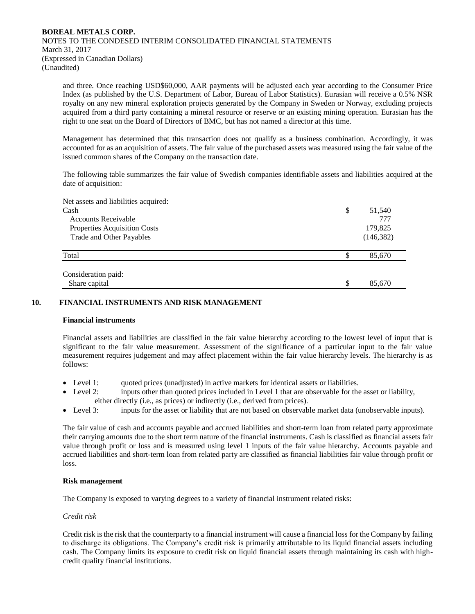and three. Once reaching USD\$60,000, AAR payments will be adjusted each year according to the Consumer Price Index (as published by the U.S. Department of Labor, Bureau of Labor Statistics). Eurasian will receive a 0.5% NSR royalty on any new mineral exploration projects generated by the Company in Sweden or Norway, excluding projects acquired from a third party containing a mineral resource or reserve or an existing mining operation. Eurasian has the right to one seat on the Board of Directors of BMC, but has not named a director at this time.

Management has determined that this transaction does not qualify as a business combination. Accordingly, it was accounted for as an acquisition of assets. The fair value of the purchased assets was measured using the fair value of the issued common shares of the Company on the transaction date.

The following table summarizes the fair value of Swedish companies identifiable assets and liabilities acquired at the date of acquisition:

| Net assets and liabilities acquired: |              |
|--------------------------------------|--------------|
| Cash                                 | \$<br>51,540 |
| <b>Accounts Receivable</b>           | 777          |
| Properties Acquisition Costs         | 179,825      |
| Trade and Other Payables             | (146, 382)   |
| Total                                | \$<br>85,670 |
|                                      |              |
| Consideration paid:                  |              |
| Share capital                        | \$<br>85,670 |

## **10. FINANCIAL INSTRUMENTS AND RISK MANAGEMENT**

#### **Financial instruments**

Financial assets and liabilities are classified in the fair value hierarchy according to the lowest level of input that is significant to the fair value measurement. Assessment of the significance of a particular input to the fair value measurement requires judgement and may affect placement within the fair value hierarchy levels. The hierarchy is as follows:

- Level 1: quoted prices (unadjusted) in active markets for identical assets or liabilities.
- Level 2: inputs other than quoted prices included in Level 1 that are observable for the asset or liability, either directly (i.e., as prices) or indirectly (i.e., derived from prices).
- Level 3: inputs for the asset or liability that are not based on observable market data (unobservable inputs).

The fair value of cash and accounts payable and accrued liabilities and short-term loan from related party approximate their carrying amounts due to the short term nature of the financial instruments. Cash is classified as financial assets fair value through profit or loss and is measured using level 1 inputs of the fair value hierarchy. Accounts payable and accrued liabilities and short-term loan from related party are classified as financial liabilities fair value through profit or loss.

#### **Risk management**

The Company is exposed to varying degrees to a variety of financial instrument related risks:

### *Credit risk*

Credit risk is the risk that the counterparty to a financial instrument will cause a financial loss for the Company by failing to discharge its obligations. The Company's credit risk is primarily attributable to its liquid financial assets including cash. The Company limits its exposure to credit risk on liquid financial assets through maintaining its cash with highcredit quality financial institutions.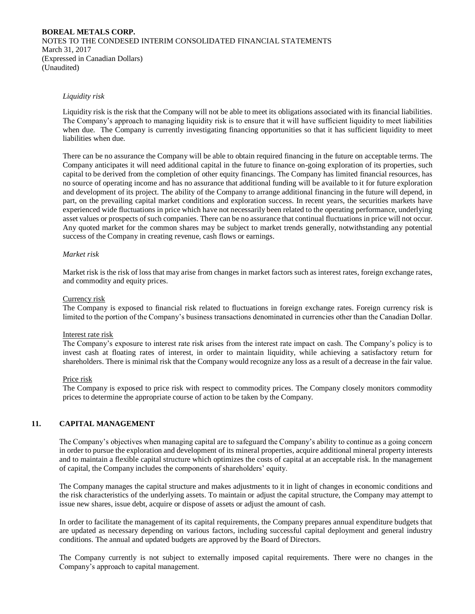### *Liquidity risk*

Liquidity risk is the risk that the Company will not be able to meet its obligations associated with its financial liabilities. The Company's approach to managing liquidity risk is to ensure that it will have sufficient liquidity to meet liabilities when due. The Company is currently investigating financing opportunities so that it has sufficient liquidity to meet liabilities when due.

There can be no assurance the Company will be able to obtain required financing in the future on acceptable terms. The Company anticipates it will need additional capital in the future to finance on-going exploration of its properties, such capital to be derived from the completion of other equity financings. The Company has limited financial resources, has no source of operating income and has no assurance that additional funding will be available to it for future exploration and development of its project. The ability of the Company to arrange additional financing in the future will depend, in part, on the prevailing capital market conditions and exploration success. In recent years, the securities markets have experienced wide fluctuations in price which have not necessarily been related to the operating performance, underlying asset values or prospects of such companies. There can be no assurance that continual fluctuations in price will not occur. Any quoted market for the common shares may be subject to market trends generally, notwithstanding any potential success of the Company in creating revenue, cash flows or earnings.

#### *Market risk*

Market risk is the risk of loss that may arise from changes in market factors such as interest rates, foreign exchange rates, and commodity and equity prices.

#### Currency risk

The Company is exposed to financial risk related to fluctuations in foreign exchange rates. Foreign currency risk is limited to the portion of the Company's business transactions denominated in currencies other than the Canadian Dollar.

#### Interest rate risk

The Company's exposure to interest rate risk arises from the interest rate impact on cash. The Company's policy is to invest cash at floating rates of interest, in order to maintain liquidity, while achieving a satisfactory return for shareholders. There is minimal risk that the Company would recognize any loss as a result of a decrease in the fair value.

#### Price risk

The Company is exposed to price risk with respect to commodity prices. The Company closely monitors commodity prices to determine the appropriate course of action to be taken by the Company.

#### **11. CAPITAL MANAGEMENT**

The Company's objectives when managing capital are to safeguard the Company's ability to continue as a going concern in order to pursue the exploration and development of its mineral properties, acquire additional mineral property interests and to maintain a flexible capital structure which optimizes the costs of capital at an acceptable risk. In the management of capital, the Company includes the components of shareholders' equity.

The Company manages the capital structure and makes adjustments to it in light of changes in economic conditions and the risk characteristics of the underlying assets. To maintain or adjust the capital structure, the Company may attempt to issue new shares, issue debt, acquire or dispose of assets or adjust the amount of cash.

In order to facilitate the management of its capital requirements, the Company prepares annual expenditure budgets that are updated as necessary depending on various factors, including successful capital deployment and general industry conditions. The annual and updated budgets are approved by the Board of Directors.

The Company currently is not subject to externally imposed capital requirements. There were no changes in the Company's approach to capital management.